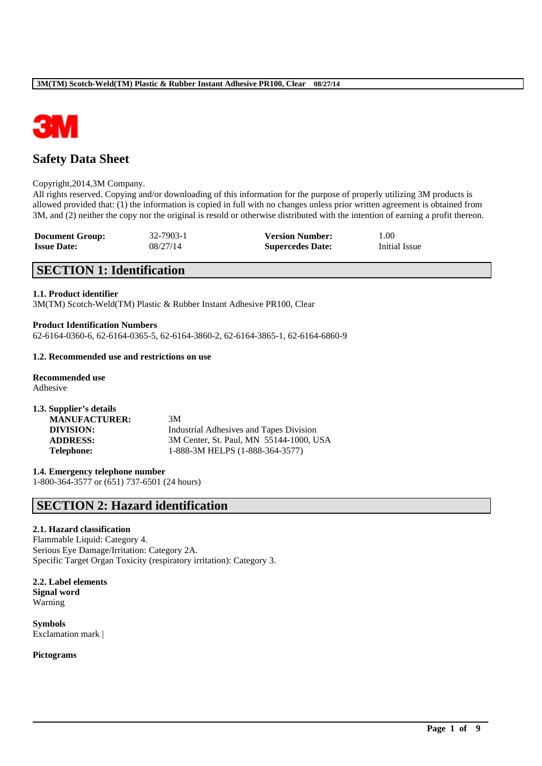

# **Safety Data Sheet**

#### Copyright,2014,3M Company.

All rights reserved. Copying and/or downloading of this information for the purpose of properly utilizing 3M products is allowed provided that: (1) the information is copied in full with no changes unless prior written agreement is obtained from 3M, and (2) neither the copy nor the original is resold or otherwise distributed with the intention of earning a profit thereon.

\_\_\_\_\_\_\_\_\_\_\_\_\_\_\_\_\_\_\_\_\_\_\_\_\_\_\_\_\_\_\_\_\_\_\_\_\_\_\_\_\_\_\_\_\_\_\_\_\_\_\_\_\_\_\_\_\_\_\_\_\_\_\_\_\_\_\_\_\_\_\_\_\_\_\_\_\_\_\_\_\_\_\_\_\_\_\_\_\_\_

| <b>Document Group:</b> | 32-7903-1 | <b>Version Number:</b>  | 1.00          |
|------------------------|-----------|-------------------------|---------------|
| <b>Issue Date:</b>     | 08/27/14  | <b>Supercedes Date:</b> | Initial Issue |

# **SECTION 1: Identification**

#### **1.1. Product identifier**

3M(TM) Scotch-Weld(TM) Plastic & Rubber Instant Adhesive PR100, Clear

#### **Product Identification Numbers**

62-6164-0360-6, 62-6164-0365-5, 62-6164-3860-2, 62-6164-3865-1, 62-6164-6860-9

#### **1.2. Recommended use and restrictions on use**

**Recommended use** Adhesive

| 3M                                             |
|------------------------------------------------|
| <b>Industrial Adhesives and Tapes Division</b> |
| 3M Center, St. Paul, MN 55144-1000, USA        |
| 1-888-3M HELPS (1-888-364-3577)                |
|                                                |

**1.4. Emergency telephone number** 1-800-364-3577 or (651) 737-6501 (24 hours)

# **SECTION 2: Hazard identification**

#### **2.1. Hazard classification**

Flammable Liquid: Category 4. Serious Eye Damage/Irritation: Category 2A. Specific Target Organ Toxicity (respiratory irritation): Category 3.

**2.2. Label elements Signal word** Warning

**Symbols** Exclamation mark |

**Pictograms**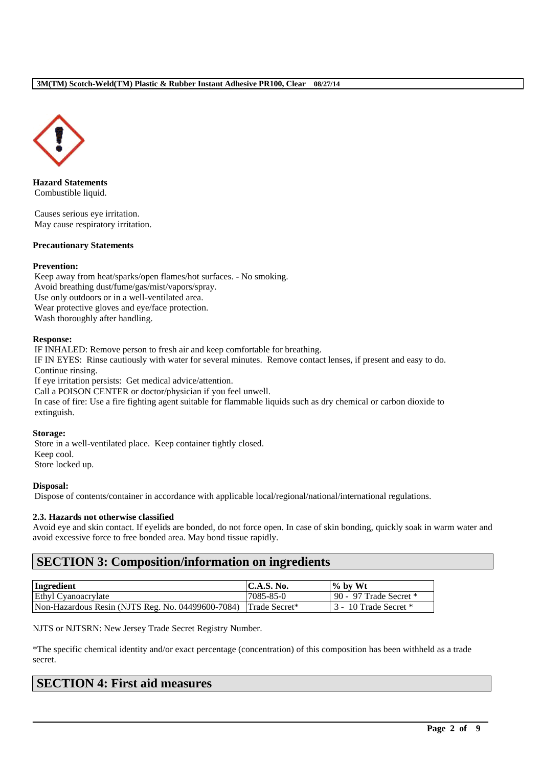

**Hazard Statements** Combustible liquid.

Causes serious eye irritation. May cause respiratory irritation.

## **Precautionary Statements**

#### **Prevention:**

Keep away from heat/sparks/open flames/hot surfaces. - No smoking. Avoid breathing dust/fume/gas/mist/vapors/spray. Use only outdoors or in a well-ventilated area. Wear protective gloves and eye/face protection. Wash thoroughly after handling.

#### **Response:**

IF INHALED: Remove person to fresh air and keep comfortable for breathing. IF IN EYES: Rinse cautiously with water for several minutes. Remove contact lenses, if present and easy to do. Continue rinsing. If eye irritation persists: Get medical advice/attention.

Call a POISON CENTER or doctor/physician if you feel unwell. In case of fire: Use a fire fighting agent suitable for flammable liquids such as dry chemical or carbon dioxide to extinguish.

#### **Storage:**

Store in a well-ventilated place. Keep container tightly closed. Keep cool. Store locked up.

#### **Disposal:**

Dispose of contents/container in accordance with applicable local/regional/national/international regulations.

#### **2.3. Hazards not otherwise classified**

Avoid eye and skin contact. If eyelids are bonded, do not force open. In case of skin bonding, quickly soak in warm water and avoid excessive force to free bonded area. May bond tissue rapidly.

# **SECTION 3: Composition/information on ingredients**

| Ingredient                                        | $\mathsf{IC.A.S.}\$ No. | $\%$ by Wt               |
|---------------------------------------------------|-------------------------|--------------------------|
| Ethyl Cyanoacrylate                               | 7085-85-0               | 90 - 97 Trade Secret $*$ |
| Non-Hazardous Resin (NJTS Reg. No. 04499600-7084) | Trade Secret*           | 3 - 10 Trade Secret *    |

NJTS or NJTSRN: New Jersey Trade Secret Registry Number.

\*The specific chemical identity and/or exact percentage (concentration) of this composition has been withheld as a trade secret.

\_\_\_\_\_\_\_\_\_\_\_\_\_\_\_\_\_\_\_\_\_\_\_\_\_\_\_\_\_\_\_\_\_\_\_\_\_\_\_\_\_\_\_\_\_\_\_\_\_\_\_\_\_\_\_\_\_\_\_\_\_\_\_\_\_\_\_\_\_\_\_\_\_\_\_\_\_\_\_\_\_\_\_\_\_\_\_\_\_\_

# **SECTION 4: First aid measures**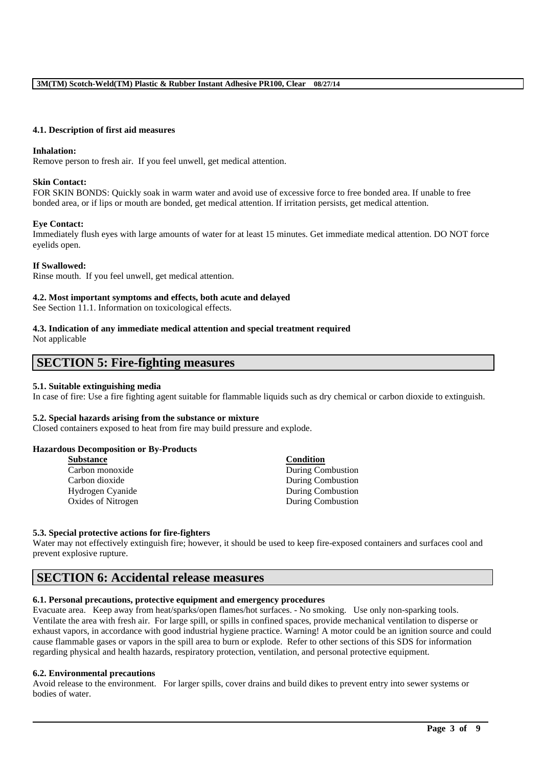#### **4.1. Description of first aid measures**

#### **Inhalation:**

Remove person to fresh air. If you feel unwell, get medical attention.

#### **Skin Contact:**

FOR SKIN BONDS: Quickly soak in warm water and avoid use of excessive force to free bonded area. If unable to free bonded area, or if lips or mouth are bonded, get medical attention. If irritation persists, get medical attention.

#### **Eye Contact:**

Immediately flush eyes with large amounts of water for at least 15 minutes. Get immediate medical attention. DO NOT force eyelids open.

#### **If Swallowed:**

Rinse mouth. If you feel unwell, get medical attention.

#### **4.2. Most important symptoms and effects, both acute and delayed**

See Section 11.1. Information on toxicological effects.

#### **4.3. Indication of any immediate medical attention and special treatment required** Not applicable

# **SECTION 5: Fire-fighting measures**

#### **5.1. Suitable extinguishing media**

In case of fire: Use a fire fighting agent suitable for flammable liquids such as dry chemical or carbon dioxide to extinguish.

#### **5.2. Special hazards arising from the substance or mixture**

Closed containers exposed to heat from fire may build pressure and explode.

#### **Hazardous Decomposition or By-Products**

| <b>Substance</b>   | <b>Condition</b>         |
|--------------------|--------------------------|
| Carbon monoxide    | <b>During Combustion</b> |
| Carbon dioxide     | During Combustion        |
| Hydrogen Cyanide   | During Combustion        |
| Oxides of Nitrogen | During Combustion        |

#### **5.3. Special protective actions for fire-fighters**

Water may not effectively extinguish fire; however, it should be used to keep fire-exposed containers and surfaces cool and prevent explosive rupture.

# **SECTION 6: Accidental release measures**

## **6.1. Personal precautions, protective equipment and emergency procedures**

Evacuate area. Keep away from heat/sparks/open flames/hot surfaces. - No smoking. Use only non-sparking tools. Ventilate the area with fresh air. For large spill, or spills in confined spaces, provide mechanical ventilation to disperse or exhaust vapors, in accordance with good industrial hygiene practice. Warning! A motor could be an ignition source and could cause flammable gases or vapors in the spill area to burn or explode. Refer to other sections of this SDS for information regarding physical and health hazards, respiratory protection, ventilation, and personal protective equipment.

#### **6.2. Environmental precautions**

Avoid release to the environment. For larger spills, cover drains and build dikes to prevent entry into sewer systems or bodies of water.

\_\_\_\_\_\_\_\_\_\_\_\_\_\_\_\_\_\_\_\_\_\_\_\_\_\_\_\_\_\_\_\_\_\_\_\_\_\_\_\_\_\_\_\_\_\_\_\_\_\_\_\_\_\_\_\_\_\_\_\_\_\_\_\_\_\_\_\_\_\_\_\_\_\_\_\_\_\_\_\_\_\_\_\_\_\_\_\_\_\_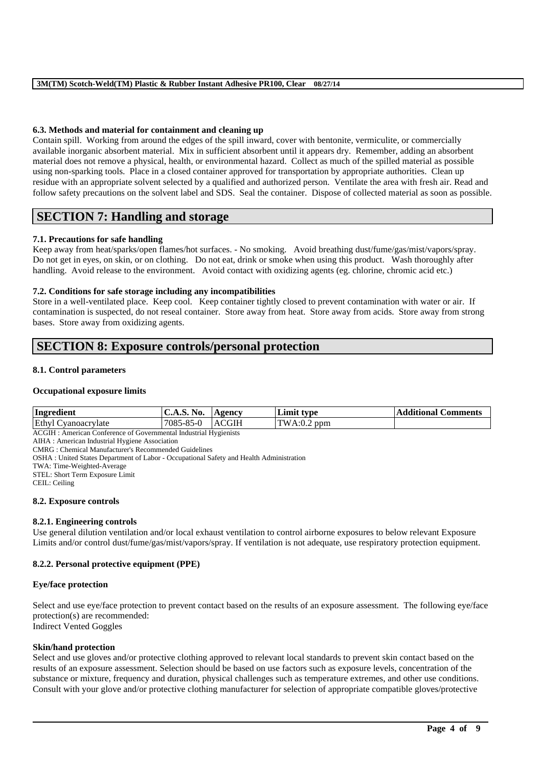## **6.3. Methods and material for containment and cleaning up**

Contain spill. Working from around the edges of the spill inward, cover with bentonite, vermiculite, or commercially available inorganic absorbent material. Mix in sufficient absorbent until it appears dry. Remember, adding an absorbent material does not remove a physical, health, or environmental hazard. Collect as much of the spilled material as possible using non-sparking tools. Place in a closed container approved for transportation by appropriate authorities. Clean up residue with an appropriate solvent selected by a qualified and authorized person. Ventilate the area with fresh air. Read and follow safety precautions on the solvent label and SDS. Seal the container. Dispose of collected material as soon as possible.

# **SECTION 7: Handling and storage**

## **7.1. Precautions for safe handling**

Keep away from heat/sparks/open flames/hot surfaces. - No smoking. Avoid breathing dust/fume/gas/mist/vapors/spray. Do not get in eyes, on skin, or on clothing. Do not eat, drink or smoke when using this product. Wash thoroughly after handling. Avoid release to the environment. Avoid contact with oxidizing agents (eg. chlorine, chromic acid etc.)

## **7.2. Conditions for safe storage including any incompatibilities**

Store in a well-ventilated place. Keep cool. Keep container tightly closed to prevent contamination with water or air. If contamination is suspected, do not reseal container. Store away from heat. Store away from acids. Store away from strong bases. Store away from oxidizing agents.

# **SECTION 8: Exposure controls/personal protection**

#### **8.1. Control parameters**

#### **Occupational exposure limits**

| Ingredient          | NO.<br><b>C.A.D.</b> | $\bf{A}$ genc $\bf{v}$ | Limit<br>: tvpe | <b>Comments</b><br>Additional C |
|---------------------|----------------------|------------------------|-----------------|---------------------------------|
| Ethyl Cyanoacrylate | 7085-85-0            | <b>ACGIH</b>           | TWA:0.2<br>ppm  |                                 |

ACGIH : American Conference of Governmental Industrial Hygienists

AIHA : American Industrial Hygiene Association

CMRG : Chemical Manufacturer's Recommended Guidelines

OSHA : United States Department of Labor - Occupational Safety and Health Administration

TWA: Time-Weighted-Average

STEL: Short Term Exposure Limit

CEIL: Ceiling

#### **8.2. Exposure controls**

#### **8.2.1. Engineering controls**

Use general dilution ventilation and/or local exhaust ventilation to control airborne exposures to below relevant Exposure Limits and/or control dust/fume/gas/mist/vapors/spray. If ventilation is not adequate, use respiratory protection equipment.

#### **8.2.2. Personal protective equipment (PPE)**

#### **Eye/face protection**

Select and use eye/face protection to prevent contact based on the results of an exposure assessment. The following eye/face protection(s) are recommended: Indirect Vented Goggles

**Skin/hand protection** Select and use gloves and/or protective clothing approved to relevant local standards to prevent skin contact based on the results of an exposure assessment. Selection should be based on use factors such as exposure levels, concentration of the substance or mixture, frequency and duration, physical challenges such as temperature extremes, and other use conditions. Consult with your glove and/or protective clothing manufacturer for selection of appropriate compatible gloves/protective

\_\_\_\_\_\_\_\_\_\_\_\_\_\_\_\_\_\_\_\_\_\_\_\_\_\_\_\_\_\_\_\_\_\_\_\_\_\_\_\_\_\_\_\_\_\_\_\_\_\_\_\_\_\_\_\_\_\_\_\_\_\_\_\_\_\_\_\_\_\_\_\_\_\_\_\_\_\_\_\_\_\_\_\_\_\_\_\_\_\_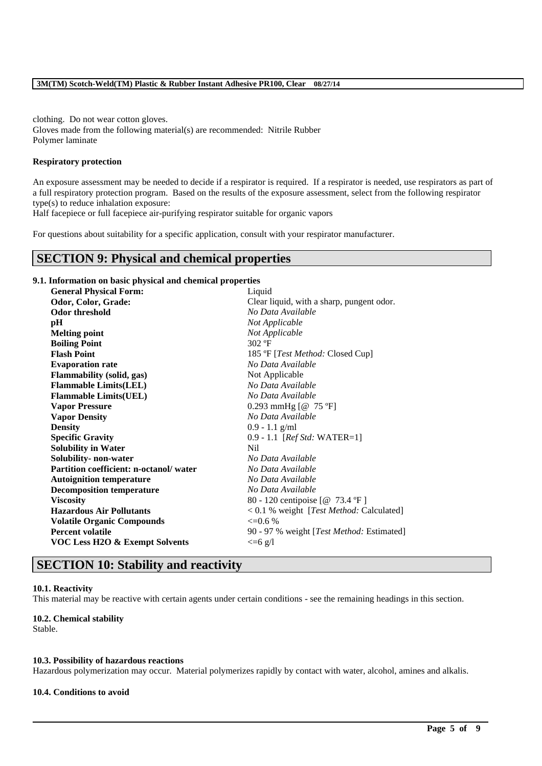clothing. Do not wear cotton gloves. Gloves made from the following material(s) are recommended: Nitrile Rubber Polymer laminate

#### **Respiratory protection**

An exposure assessment may be needed to decide if a respirator is required. If a respirator is needed, use respirators as part of a full respiratory protection program. Based on the results of the exposure assessment, select from the following respirator type(s) to reduce inhalation exposure:

Half facepiece or full facepiece air-purifying respirator suitable for organic vapors

For questions about suitability for a specific application, consult with your respirator manufacturer.

# **SECTION 9: Physical and chemical properties**

#### **9.1. Information on basic physical and chemical properties**

| <b>General Physical Form:</b>             | Liquid                                    |
|-------------------------------------------|-------------------------------------------|
| Odor, Color, Grade:                       | Clear liquid, with a sharp, pungent odor. |
| <b>Odor threshold</b>                     | No Data Available                         |
| pН                                        | Not Applicable                            |
| <b>Melting point</b>                      | Not Applicable                            |
| <b>Boiling Point</b>                      | $302$ °F                                  |
| <b>Flash Point</b>                        | 185 °F [ <i>Test Method:</i> Closed Cup]  |
| <b>Evaporation rate</b>                   | No Data Available                         |
| <b>Flammability (solid, gas)</b>          | Not Applicable                            |
| <b>Flammable Limits(LEL)</b>              | No Data Available                         |
| <b>Flammable Limits(UEL)</b>              | No Data Available                         |
| <b>Vapor Pressure</b>                     | 0.293 mmHg $[@ 75 °F]$                    |
| <b>Vapor Density</b>                      | No Data Available                         |
| <b>Density</b>                            | $0.9 - 1.1$ g/ml                          |
| <b>Specific Gravity</b>                   | $0.9 - 1.1$ [ <i>Ref Std:</i> WATER=1]    |
| <b>Solubility in Water</b>                | Nil.                                      |
| Solubility- non-water                     | No Data Available                         |
| Partition coefficient: n-octanol/water    | No Data Available                         |
| <b>Autoignition temperature</b>           | No Data Available                         |
| <b>Decomposition temperature</b>          | No Data Available                         |
| <b>Viscosity</b>                          | 80 - 120 centipoise [@ 73.4 °F]           |
| <b>Hazardous Air Pollutants</b>           | < 0.1 % weight [Test Method: Calculated]  |
| <b>Volatile Organic Compounds</b>         | $\leq 0.6\%$                              |
| <b>Percent volatile</b>                   | 90 - 97 % weight [Test Method: Estimated] |
| <b>VOC Less H2O &amp; Exempt Solvents</b> | $\leq$ =6 g/l                             |

# **SECTION 10: Stability and reactivity**

# **10.1. Reactivity**

This material may be reactive with certain agents under certain conditions - see the remaining headings in this section.

# **10.2. Chemical stability**

Stable.

#### **10.3. Possibility of hazardous reactions**

Hazardous polymerization may occur. Material polymerizes rapidly by contact with water, alcohol, amines and alkalis.

\_\_\_\_\_\_\_\_\_\_\_\_\_\_\_\_\_\_\_\_\_\_\_\_\_\_\_\_\_\_\_\_\_\_\_\_\_\_\_\_\_\_\_\_\_\_\_\_\_\_\_\_\_\_\_\_\_\_\_\_\_\_\_\_\_\_\_\_\_\_\_\_\_\_\_\_\_\_\_\_\_\_\_\_\_\_\_\_\_\_

#### **10.4. Conditions to avoid**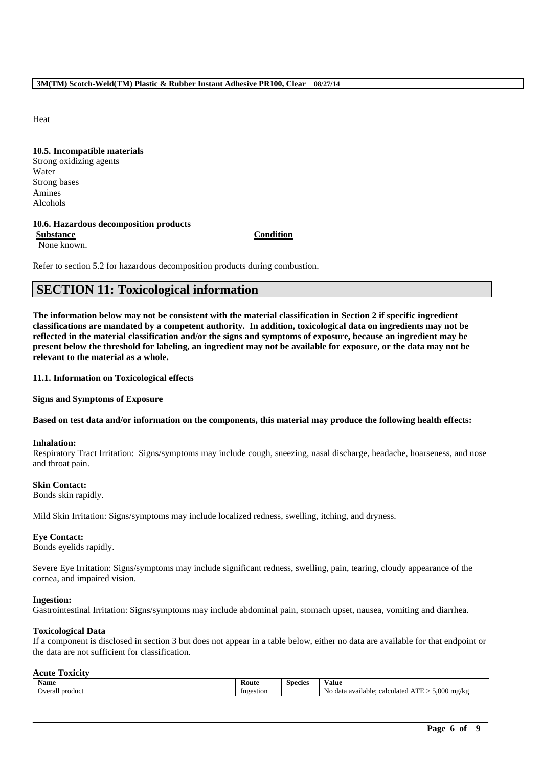Heat

**10.5. Incompatible materials** Strong oxidizing agents Water Strong bases Amines Alcohols

#### **10.6. Hazardous decomposition products**

**Substance Condition** None known.

Refer to section 5.2 for hazardous decomposition products during combustion.

# **SECTION 11: Toxicological information**

**The information below may not be consistent with the material classification in Section 2 if specific ingredient classifications are mandated by a competent authority. In addition, toxicological data on ingredients may not be reflected in the material classification and/or the signs and symptoms of exposure, because an ingredient may be present below the threshold for labeling, an ingredient may not be available for exposure, or the data may not be relevant to the material as a whole.**

#### **11.1. Information on Toxicological effects**

**Signs and Symptoms of Exposure**

**Based on test data and/or information on the components, this material may produce the following health effects:**

#### **Inhalation:**

Respiratory Tract Irritation: Signs/symptoms may include cough, sneezing, nasal discharge, headache, hoarseness, and nose and throat pain.

#### **Skin Contact:**

Bonds skin rapidly.

Mild Skin Irritation: Signs/symptoms may include localized redness, swelling, itching, and dryness.

#### **Eye Contact:**

Bonds eyelids rapidly.

Severe Eye Irritation: Signs/symptoms may include significant redness, swelling, pain, tearing, cloudy appearance of the cornea, and impaired vision.

#### **Ingestion:**

Gastrointestinal Irritation: Signs/symptoms may include abdominal pain, stomach upset, nausea, vomiting and diarrhea.

#### **Toxicological Data**

If a component is disclosed in section 3 but does not appear in a table below, either no data are available for that endpoint or the data are not sufficient for classification.

#### **Acute Toxicity**

| Name                   | .coute        | Species | 'alue                                                                                                 |
|------------------------|---------------|---------|-------------------------------------------------------------------------------------------------------|
| product<br>lvera<br>ыа | stior<br>'n G |         | $\Omega$<br>---<br>No<br>, mg<br>data<br>available:<br>calculate <sup>r</sup><br><br>↵<br>$\sim$<br>. |

\_\_\_\_\_\_\_\_\_\_\_\_\_\_\_\_\_\_\_\_\_\_\_\_\_\_\_\_\_\_\_\_\_\_\_\_\_\_\_\_\_\_\_\_\_\_\_\_\_\_\_\_\_\_\_\_\_\_\_\_\_\_\_\_\_\_\_\_\_\_\_\_\_\_\_\_\_\_\_\_\_\_\_\_\_\_\_\_\_\_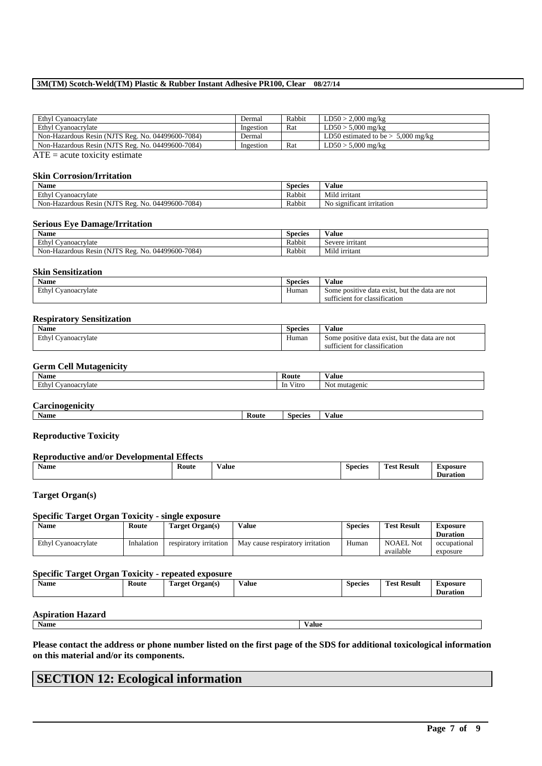#### **3M(TM) Scotch-Weld(TM) Plastic & Rubber Instant Adhesive PR100, Clear 08/27/14**

| Ethyl Cyanoacrylate                               | Dermal    | Rabbit | $LD50 > 2,000$ mg/kg                 |
|---------------------------------------------------|-----------|--------|--------------------------------------|
| Ethyl Cyanoacrylate                               | Ingestion | Rat    | $LD50 > 5,000$ mg/kg                 |
| Non-Hazardous Resin (NJTS Reg. No. 04499600-7084) | Dermal    |        | LD50 estimated to be $> 5,000$ mg/kg |
| Non-Hazardous Resin (NJTS Reg. No. 04499600-7084) | Ingestion | Rat    | $LD50 > 5,000$ mg/kg                 |

 $ATE = acute$  toxicity estimate

#### **Skin Corrosion/Irritation**

| $\bullet$ $\bullet$<br>Name                                                                  | <b>Species</b> | $-1$<br>Value                                      |
|----------------------------------------------------------------------------------------------|----------------|----------------------------------------------------|
| $\mathbf{r}$<br>Cyanoacrylate<br>Ethvl                                                       | Rabbit         | .<br>Mild irritant                                 |
| $-7084$<br>--<br>04499600-,<br>Non-<br>NĽ<br>-No.<br><b>Reg</b><br>Hazardous<br><b>Resin</b> | Rabbit         | $\sim$<br>No<br>ticant irritation<br><b>S12011</b> |

#### **Serious Eye Damage/Irritation**

| Name                                                                            | <b>Species</b> | $-1$<br>⁄ alue        |
|---------------------------------------------------------------------------------|----------------|-----------------------|
| Ethy<br>. Cyanoacrylate                                                         | Rabbit         | Severe irritant       |
| -7084<br>NJTS<br>. .<br>04499600-7<br>No.<br>Non-Hazardous Resin<br>Reg<br>'N I | Rabbit         | $-1$<br>Mild irritant |

#### **Skin Sensitization**

| <b>Name</b>            | <b>Species</b> | $-1$<br>/ alue                                                  |
|------------------------|----------------|-----------------------------------------------------------------|
| Ethyl<br>Cyanoacrylate | Human          | e data are not<br>exist.<br>the<br>but<br>Some positive<br>data |
|                        |                | $\sim$<br>- -<br>ficient for classification<br>SU1              |

#### **Respiratory Sensitization**

| $\bullet$ $\bullet$<br>Name       | $\sim$<br>Species | Value                                                    |
|-----------------------------------|-------------------|----------------------------------------------------------|
| Ethy<br>$\sim$<br>. Cyanoacrylate | Human             | , but the data are not<br>: data exist.<br>Some positive |
|                                   |                   | sufficient for classification                            |

#### **Germ Cell Mutagenicity**

| Name                                        | Route                                | Value                |
|---------------------------------------------|--------------------------------------|----------------------|
| Ethy<br>∖vanoacrvlate<br>and the control of | $- - -$<br>V <sub>1</sub> trc<br>-In | $N_{0}$<br>mutagenio |
|                                             |                                      |                      |

## **Carcinogenicity**

| ъ.<br>Name<br>Route<br><b>Species</b><br>/alue |
|------------------------------------------------|
|------------------------------------------------|

#### **Reproductive Toxicity**

#### **Reproductive and/or Developmental Effects**

| $\bullet$<br>Name | Route | Value | <b>Species</b><br>. | <b>Result</b><br>i ρς<br>---<br>__ | $I$ where $\alpha$ claim and<br>wsw<br>ntin<br>таног |
|-------------------|-------|-------|---------------------|------------------------------------|------------------------------------------------------|
|                   |       |       |                     |                                    |                                                      |

## **Target Organ(s)**

#### **Specific Target Organ Toxicity - single exposure**

| Name                | Route      | Target Organ(s)        | Value                            | <b>Species</b> | <b>Test Result</b> | Exposure        |
|---------------------|------------|------------------------|----------------------------------|----------------|--------------------|-----------------|
|                     |            |                        |                                  |                |                    | <b>Duration</b> |
| Ethyl Cyanoacrylate | Inhalation | respiratory irritation | May cause respiratory irritation | Human          | <b>NOAEL Not</b>   | occupational    |
|                     |            |                        |                                  |                | available          | exposure        |

# **Specific Target Organ Toxicity - repeated exposure**

|  | Name | Koute | <b>CONTRACTOR</b><br>1 arget<br>Organ(s) | - -<br>Value | <b>Species</b> | <b>CONTRACTOR</b><br>-<br>Test Result | Exposure<br>Duration |
|--|------|-------|------------------------------------------|--------------|----------------|---------------------------------------|----------------------|
|--|------|-------|------------------------------------------|--------------|----------------|---------------------------------------|----------------------|

# **Aspiration Hazard**<br>Name

**Name Value**

**Please contact the address or phone number listed on the first page of the SDS for additional toxicological information on this material and/or its components.**

\_\_\_\_\_\_\_\_\_\_\_\_\_\_\_\_\_\_\_\_\_\_\_\_\_\_\_\_\_\_\_\_\_\_\_\_\_\_\_\_\_\_\_\_\_\_\_\_\_\_\_\_\_\_\_\_\_\_\_\_\_\_\_\_\_\_\_\_\_\_\_\_\_\_\_\_\_\_\_\_\_\_\_\_\_\_\_\_\_\_

# **SECTION 12: Ecological information**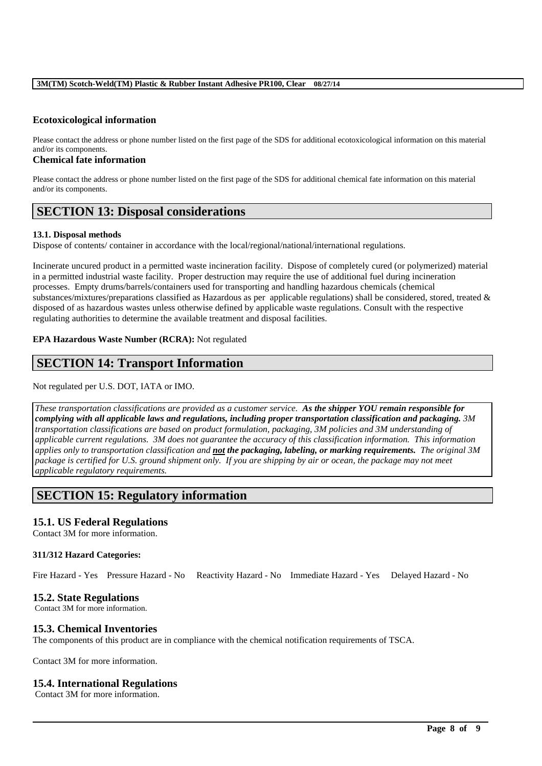#### **3M(TM) Scotch-Weld(TM) Plastic & Rubber Instant Adhesive PR100, Clear 08/27/14**

## **Ecotoxicological information**

Please contact the address or phone number listed on the first page of the SDS for additional ecotoxicological information on this material and/or its components.

#### **Chemical fate information**

Please contact the address or phone number listed on the first page of the SDS for additional chemical fate information on this material and/or its components.

# **SECTION 13: Disposal considerations**

#### **13.1. Disposal methods**

Dispose of contents/ container in accordance with the local/regional/national/international regulations.

Incinerate uncured product in a permitted waste incineration facility. Dispose of completely cured (or polymerized) material in a permitted industrial waste facility. Proper destruction may require the use of additional fuel during incineration processes. Empty drums/barrels/containers used for transporting and handling hazardous chemicals (chemical substances/mixtures/preparations classified as Hazardous as per applicable regulations) shall be considered, stored, treated & disposed of as hazardous wastes unless otherwise defined by applicable waste regulations. Consult with the respective regulating authorities to determine the available treatment and disposal facilities.

#### **EPA Hazardous Waste Number (RCRA):** Not regulated

# **SECTION 14: Transport Information**

## Not regulated per U.S. DOT, IATA or IMO.

*These transportation classifications are provided as a customer service. As the shipper YOU remain responsible for complying with all applicable laws and regulations, including proper transportation classification and packaging. 3M transportation classifications are based on product formulation, packaging, 3M policies and 3M understanding of applicable current regulations. 3M does not guarantee the accuracy of this classification information. This information applies only to transportation classification and not the packaging, labeling, or marking requirements. The original 3M package is certified for U.S. ground shipment only. If you are shipping by air or ocean, the package may not meet applicable regulatory requirements.* 

# **SECTION 15: Regulatory information**

# **15.1. US Federal Regulations**

Contact 3M for more information.

#### **311/312 Hazard Categories:**

Fire Hazard - Yes Pressure Hazard - No Reactivity Hazard - No Immediate Hazard - Yes Delayed Hazard - No

\_\_\_\_\_\_\_\_\_\_\_\_\_\_\_\_\_\_\_\_\_\_\_\_\_\_\_\_\_\_\_\_\_\_\_\_\_\_\_\_\_\_\_\_\_\_\_\_\_\_\_\_\_\_\_\_\_\_\_\_\_\_\_\_\_\_\_\_\_\_\_\_\_\_\_\_\_\_\_\_\_\_\_\_\_\_\_\_\_\_

# **15.2. State Regulations**

Contact 3M for more information.

# **15.3. Chemical Inventories**

The components of this product are in compliance with the chemical notification requirements of TSCA.

Contact 3M for more information.

#### **15.4. International Regulations**

Contact 3M for more information.